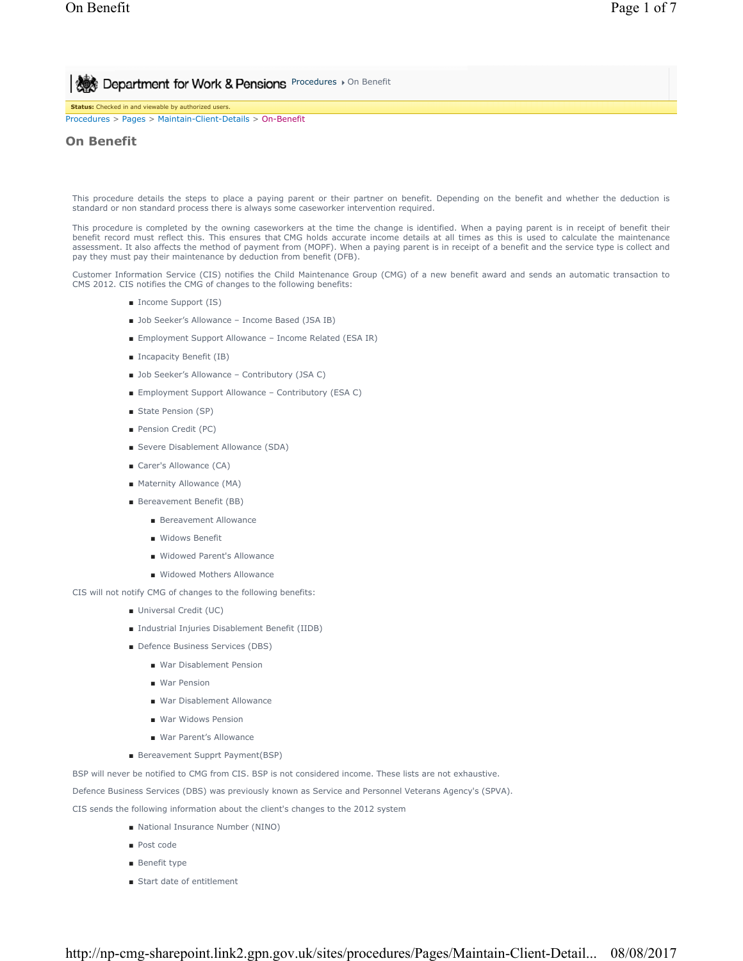**Procedures > On Benefit Conduct On Benefit ADDED MORK & Pensions** Procedures > On Benefit

**Status:** Checked in and viewable by authorized users. Procedures > Pages > Maintain-Client-Details > On-Benefit

# **On Benefit**

This procedure details the steps to place a paying parent or their partner on benefit. Depending on the benefit and whether the deduction is standard or non standard process there is always some caseworker intervention required.

This procedure is completed by the owning caseworkers at the time the change is identified. When a paying parent is in receipt of benefit their benefit record must reflect this. This ensures that CMG holds accurate income details at all times as this is used to calculate the maintenance assessment. It also affects the method of payment from (MOPF). When a paying parent is in receipt of a benefit and the service type is collect and pay they must pay their maintenance by deduction from benefit (DFB).

Customer Information Service (CIS) notifies the Child Maintenance Group (CMG) of a new benefit award and sends an automatic transaction to CMS 2012. CIS notifies the CMG of changes to the following benefits:

- Income Support (IS)
- Job Seeker's Allowance Income Based (JSA IB)
- Employment Support Allowance Income Related (ESA IR)
- Incapacity Benefit (IB)
- Job Seeker's Allowance Contributory (JSA C)
- Employment Support Allowance Contributory (ESA C)
- State Pension (SP)
- Pension Credit (PC)
- Severe Disablement Allowance (SDA)
- Carer's Allowance (CA)
- Maternity Allowance (MA)
- Bereavement Benefit (BB)
	- Bereavement Allowance
	- Widows Benefit
	- Widowed Parent's Allowance
	- Widowed Mothers Allowance
- CIS will not notify CMG of changes to the following benefits:
	- Universal Credit (UC)
	- Industrial Injuries Disablement Benefit (IIDB)
	- Defence Business Services (DBS)
		- War Disablement Pension
		- War Pension
		- War Disablement Allowance
		- War Widows Pension
		- War Parent's Allowance
	- Bereavement Supprt Payment(BSP)

BSP will never be notified to CMG from CIS. BSP is not considered income. These lists are not exhaustive.

Defence Business Services (DBS) was previously known as Service and Personnel Veterans Agency's (SPVA).

CIS sends the following information about the client's changes to the 2012 system

- National Insurance Number (NINO)
- Post code
- Benefit type
- Start date of entitlement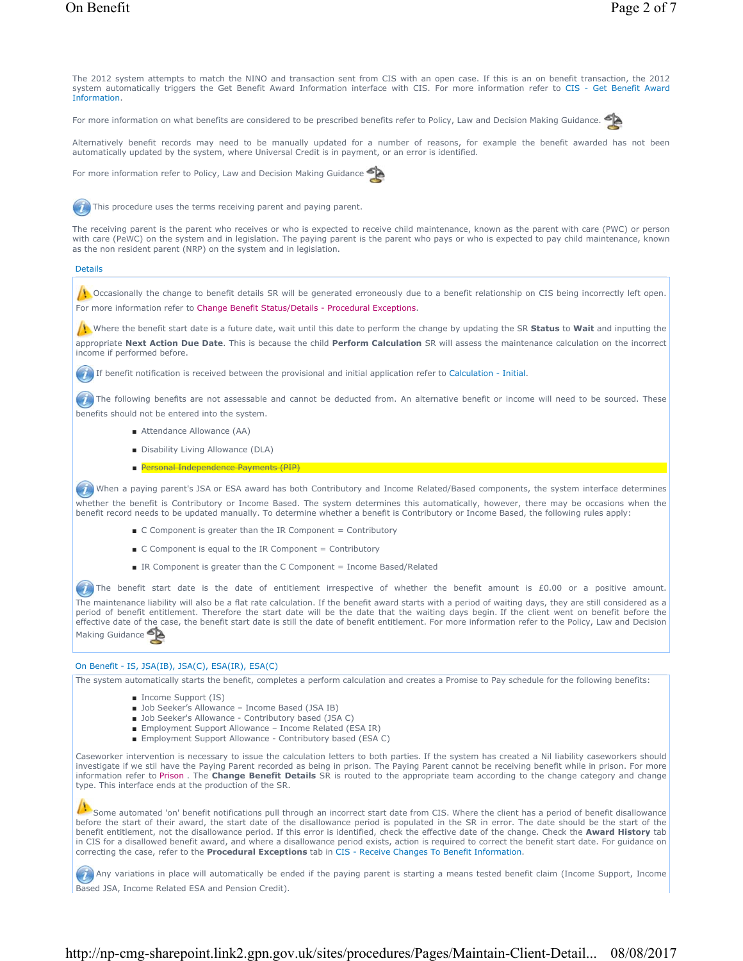The 2012 system attempts to match the NINO and transaction sent from CIS with an open case. If this is an on benefit transaction, the 2012 system automatically triggers the Get Benefit Award Information interface with CIS. For more information refer to CIS - Get Benefit Award Information.

For more information on what benefits are considered to be prescribed benefits refer to Policy, Law and Decision Making Guidance.



For more information refer to Policy, Law and Decision Making Guidance



This procedure uses the terms receiving parent and paying parent.

The receiving parent is the parent who receives or who is expected to receive child maintenance, known as the parent with care (PWC) or person with care (PeWC) on the system and in legislation. The paying parent is the parent who pays or who is expected to pay child maintenance, known as the non resident parent (NRP) on the system and in legislation.

### Details

 $\left\langle \cdot \right\rangle$  Occasionally the change to benefit details SR will be generated erroneously due to a benefit relationship on CIS being incorrectly left open. For more information refer to Change Benefit Status/Details - Procedural Exceptions.

Where the benefit start date is a future date, wait until this date to perform the change by updating the SR **Status** to **Wait** and inputting the appropriate **Next Action Due Date**. This is because the child **Perform Calculation** SR will assess the maintenance calculation on the incorrect income if performed before.

If benefit notification is received between the provisional and initial application refer to Calculation - Initial.

The following benefits are not assessable and cannot be deducted from. An alternative benefit or income will need to be sourced. These benefits should not be entered into the system.

- Attendance Allowance (AA)
- Disability Living Allowance (DLA)
- Personal Independence Payments (PIP)

When a paying parent's JSA or ESA award has both Contributory and Income Related/Based components, the system interface determines whether the benefit is Contributory or Income Based. The system determines this automatically, however, there may be occasions when the benefit record needs to be updated manually. To determine whether a benefit is Contributory or Income Based, the following rules apply:

- C Component is greater than the IR Component = Contributory
- C Component is equal to the IR Component = Contributory
- IR Component is greater than the C Component = Income Based/Related

The benefit start date is the date of entitlement irrespective of whether the benefit amount is £0.00 or a positive amount. The maintenance liability will also be a flat rate calculation. If the benefit award starts with a period of waiting days, they are still considered as a period of benefit entitlement. Therefore the start date will be the date that the waiting days begin. If the client went on benefit before the effective date of the case, the benefit start date is still the date of benefit entitlement. For more information refer to the Policy, Law and Decision Making Guidance

# On Benefit - IS, JSA(IB), JSA(C), ESA(IR), ESA(C)

The system automatically starts the benefit, completes a perform calculation and creates a Promise to Pay schedule for the following benefits:

- Income Support (IS)
- Job Seeker's Allowance Income Based (JSA IB)
- Job Seeker's Allowance Contributory based (JSA C)
- Employment Support Allowance Income Related (ESA IR)
- Employment Support Allowance Contributory based (ESA C)

Caseworker intervention is necessary to issue the calculation letters to both parties. If the system has created a Nil liability caseworkers should investigate if we stil have the Paying Parent recorded as being in prison. The Paying Parent cannot be receiving benefit while in prison. For more information refer to Prison . The **Change Benefit Details** SR is routed to the appropriate team according to the change category and change type. This interface ends at the production of the SR.

Some automated 'on' benefit notifications pull through an incorrect start date from CIS. Where the client has a period of benefit disallowance before the start of their award, the start date of the disallowance period is populated in the SR in error. The date should be the start of the benefit entitlement, not the disallowance period. If this error is identified, check the effective date of the change. Check the **Award History** tab in CIS for a disallowed benefit award, and where a disallowance period exists, action is required to correct the benefit start date. For guidance on correcting the case, refer to the **Procedural Exceptions** tab in CIS - Receive Changes To Benefit Information.

Any variations in place will automatically be ended if the paying parent is starting a means tested benefit claim (Income Support, Income Based JSA, Income Related ESA and Pension Credit).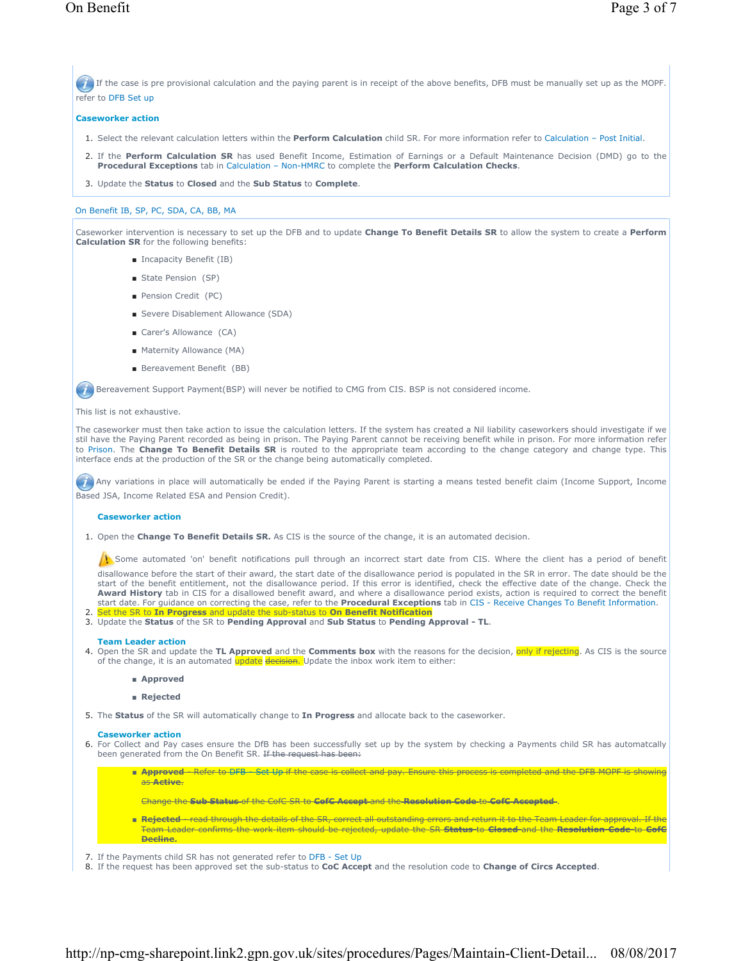If the case is pre provisional calculation and the paying parent is in receipt of the above benefits, DFB must be manually set up as the MOPF. refer to DFB Set up

# **Caseworker action**

- 1. Select the relevant calculation letters within the **Perform Calculation** child SR. For more information refer to Calculation Post Initial.
- 2. If the Perform Calculation SR has used Benefit Income, Estimation of Earnings or a Default Maintenance Decision (DMD) go to the **Procedural Exceptions** tab in Calculation – Non-HMRC to complete the **Perform Calculation Checks**.
- 3. Update the **Status** to **Closed** and the **Sub Status** to **Complete**.

## On Benefit IB, SP, PC, SDA, CA, BB, MA

Caseworker intervention is necessary to set up the DFB and to update **Change To Benefit Details SR** to allow the system to create a **Perform Calculation SR** for the following benefits:

- Incapacity Benefit (IB)
- State Pension (SP)
- Pension Credit (PC)
- Severe Disablement Allowance (SDA)
- Carer's Allowance (CA)
- Maternity Allowance (MA)
- Bereavement Benefit (BB)

Bereavement Support Payment(BSP) will never be notified to CMG from CIS. BSP is not considered income.

#### This list is not exhaustive.

The caseworker must then take action to issue the calculation letters. If the system has created a Nil liability caseworkers should investigate if we stil have the Paying Parent recorded as being in prison. The Paying Parent cannot be receiving benefit while in prison. For more information refer to Prison. The **Change To Benefit Details SR** is routed to the appropriate team according to the change category and change type. This interface ends at the production of the SR or the change being automatically completed.

Any variations in place will automatically be ended if the Paying Parent is starting a means tested benefit claim (Income Support, Income Based JSA, Income Related ESA and Pension Credit).

#### **Caseworker action**

1. Open the **Change To Benefit Details SR.** As CIS is the source of the change, it is an automated decision.

Some automated 'on' benefit notifications pull through an incorrect start date from CIS. Where the client has a period of benefit

disallowance before the start of their award, the start date of the disallowance period is populated in the SR in error. The date should be the start of the benefit entitlement, not the disallowance period. If this error is identified, check the effective date of the change. Check the **Award History** tab in CIS for a disallowed benefit award, and where a disallowance period exists, action is required to correct the benefit start date. For guidance on correcting the case, refer to the **Procedural Exceptions** tab in CIS - Receive Changes To Benefit Information.<br>2. Set the SR to In Progress and update the sub-status to On Benefit Notification

3. Update the Status of the SR to Pending Approval and Sub Status to Pending Approval - TL.

#### **Team Leader action**

- **4.** Open the SR and update the **TL Approved** and the Comments box with the reasons for the decision, <mark>only if rejecting</mark>. As CIS is the source of the change, it is an automated update decision. Update the inbox work item to either:
	- **Approved**
	- **Rejected**
- 5. The Status of the SR will automatically change to In Progress and allocate back to the caseworker.

#### **Caseworker action**

- 6. For Collect and Pay cases ensure the DfB has been successfully set up by the system by checking a Payments child SR has automatcally been generated from the On Benefit SR. If the request has been:
	- <del>Approved Refer to DFB Set Up if the case is collect and pay. Ensure this process is completed and the DFB MOPF is showing</del> as **Active**.
		- Change the **Sub Status** of the CofC SR to **CofC Accept** and the **Resolution Code** to **CofC Accepted** .
	- <del>Rejected read through the details of the SR, correct all outstanding errors and return it to the Team Leader for approval. If the</del> Team Leader confirms the work item should be rejected, update the SR **Status** to **Closed** and the **Resolution Code** to **CofC Decline.**
- 7. If the Payments child SR has not generated refer to DFB Set Up
- 8. If the request has been approved set the sub-status to **CoC Accept** and the resolution code to **Change of Circs Accepted**.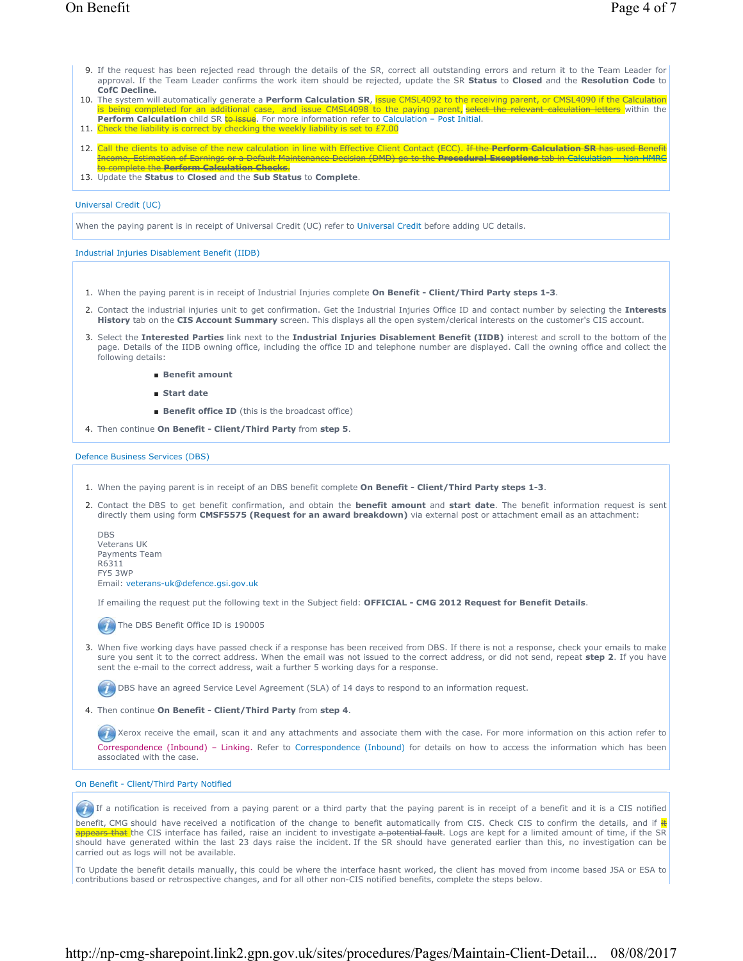- If the request has been rejected read through the details of the SR, correct all outstanding errors and return it to the Team Leader for 9. approval. If the Team Leader confirms the work item should be rejected, update the SR **Status** to **Closed** and the **Resolution Code** to **CofC Decline.**
- 10. The system will automatically generate a Perform Calculation SR, issue CMSL4092 to the receiving parent, or CMSL4090 if the Calculation is being completed for an additional case, and issue CMSL4098 to the paying parent, <del>select the relevant calculation letters</del> within the<br>**Perform Calculation** child SR <del>to issue</del>. For more information refer to Calculation
- 11. Check the liability is correct by checking the weekly liability is set to  $£7.00$
- 12. Call the clients to advise of the new calculation in line with Effective Client Contact (ECC). <del>If the **Perform Calculation SR** has used Benefit</del> Income, Estimation of Earnings or a Default Maintenance Decision (DMD) go to the **Procedural Exceptions** tab in Calculation – Non-HMRC to complete the **Perform Calculation Checks**.
- 13. Update the **Status** to **Closed** and the **Sub Status** to **Complete**.

#### Universal Credit (UC)

When the paying parent is in receipt of Universal Credit (UC) refer to Universal Credit before adding UC details.

Industrial Injuries Disablement Benefit (IIDB)

- 1. When the paying parent is in receipt of Industrial Injuries complete **On Benefit Client/Third Party steps 1-3**.
- Contact the industrial injuries unit to get confirmation. Get the Industrial Injuries Office ID and contact number by selecting the **Interests**  2. **History** tab on the **CIS Account Summary** screen. This displays all the open system/clerical interests on the customer's CIS account.
- Select the **Interested Parties** link next to the **Industrial Injuries Disablement Benefit (IIDB)** interest and scroll to the bottom of the 3. page. Details of the IIDB owning office, including the office ID and telephone number are displayed. Call the owning office and collect the following details:
	- **Benefit amount**
	- **Start date**
	- **Benefit office ID** (this is the broadcast office)

4. Then continue **On Benefit - Client/Third Party** from **step 5**.

#### Defence Business Services (DBS)

- 1. When the paying parent is in receipt of an DBS benefit complete **On Benefit Client/Third Party steps 1-3**.
- 2. Contact the DBS to get benefit confirmation, and obtain the **benefit amount** and start date. The benefit information request is sent directly them using form **CMSF5575 (Request for an award breakdown)** via external post or attachment email as an attachment:

DBS Veterans UK Payments Team R6311 FY5 3WP Email: veterans-uk@defence.gsi.gov.uk

If emailing the request put the following text in the Subject field: **OFFICIAL - CMG 2012 Request for Benefit Details**.

The DBS Benefit Office ID is 190005

3. When five working days have passed check if a response has been received from DBS. If there is not a response, check your emails to make sure you sent it to the correct address. When the email was not issued to the correct address, or did not send, repeat **step 2**. If you have sent the e-mail to the correct address, wait a further 5 working days for a response.

**(7)** DBS have an agreed Service Level Agreement (SLA) of 14 days to respond to an information request.

Then continue **On Benefit - Client/Third Party** from **step 4**. 4.

Xerox receive the email, scan it and any attachments and associate them with the case. For more information on this action refer to Correspondence (Inbound) – Linking. Refer to Correspondence (Inbound) for details on how to access the information which has been associated with the case.

#### On Benefit - Client/Third Party Notified

If a notification is received from a paying parent or a third party that the paying parent is in receipt of a benefit and it is a CIS notified benefit, CMG should have received a notification of the change to benefit automatically from CIS. Check CIS to confirm the details, and if  $\frac{1}{k}$ at the CIS interface has failed, raise an incident to investigate a potential fault. Logs are kept for a limited amount of time, if the SR should have generated within the last 23 days raise the incident. If the SR should have generated earlier than this, no investigation can be carried out as logs will not be available.

To Update the benefit details manually, this could be where the interface hasnt worked, the client has moved from income based JSA or ESA to contributions based or retrospective changes, and for all other non-CIS notified benefits, complete the steps below.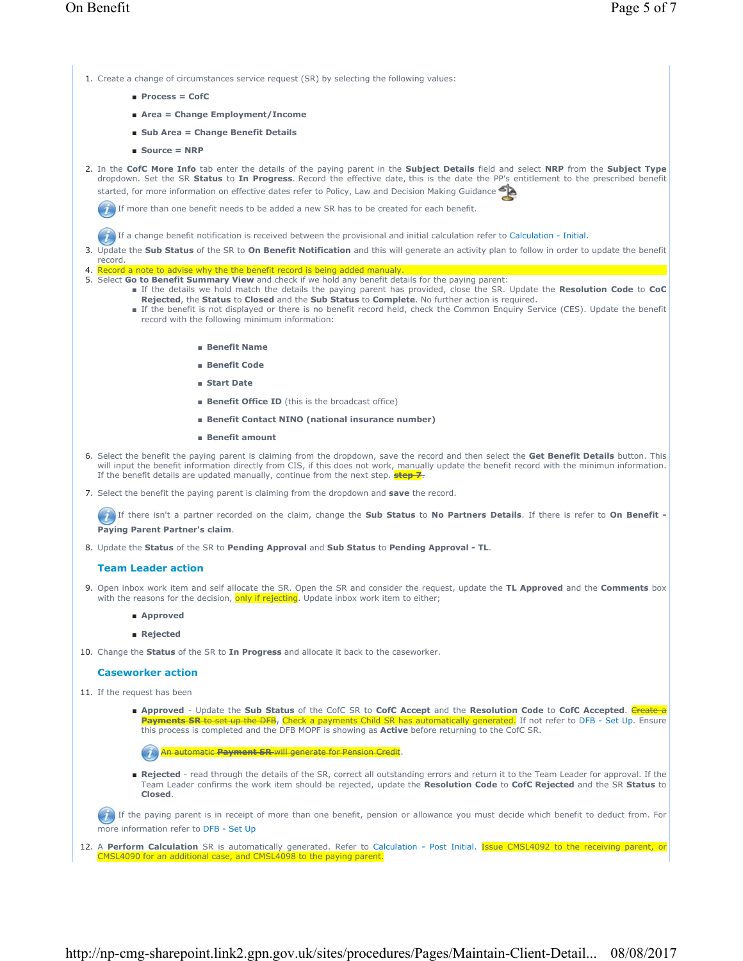1. Create a change of circumstances service request (SR) by selecting the following values:

- **Process = CofC**
- **Area = Change Employment/Income**
- **Sub Area = Change Benefit Details**
- **Source = NRP**
- In the **CofC More Info** tab enter the details of the paying parent in the **Subject Details** field and select **NRP** from the **Subject Type** 2. dropdown. Set the SR **Status** to **In Progress**. Record the effective date, this is the date the PP's entitlement to the prescribed benefit started, for more information on effective dates refer to Policy, Law and Decision Making Guidance

If more than one benefit needs to be added a new SR has to be created for each benefit.

If a change benefit notification is received between the provisional and initial calculation refer to Calculation - Initial.

- 3. Update the Sub Status of the SR to On Benefit Notification and this will generate an activity plan to follow in order to update the benefit record.
- 4. Record a note to advise why the the benefit record is being added manualy
- 5. Select Go to Benefit Summary View and check if we hold any benefit details for the paying parent:
	- If the details we hold match the details the paying parent has provided, close the SR. Update the Resolution Code to CoC **Rejected**, the **Status** to **Closed** and the **Sub Status** to **Complete**. No further action is required.
		- If the benefit is not displayed or there is no benefit record held, check the Common Enquiry Service (CES). Update the benefit record with the following minimum information:
			- **Benefit Name**
			- **Benefit Code**
			- **Start Date**
			- **Benefit Office ID** (this is the broadcast office)
			- **Benefit Contact NINO (national insurance number)**
			- **Benefit amount**
- 6. Select the benefit the paying parent is claiming from the dropdown, save the record and then select the Get Benefit Details button. This will input the benefit information directly from CIS, if this does not work, manually update the benefit record with the minimun information. If the benefit details are updated manually, continue from the next step. **step 7**.
- 7. Select the benefit the paying parent is claiming from the dropdown and **save** the record.

If there isn't a partner recorded on the claim, change the **Sub Status** to **No Partners Details**. If there is refer to **On Benefit - Paying Parent Partner's claim**.

8. Update the **Status** of the SR to **Pending Approval** and **Sub Status** to **Pending Approval - TL**.

#### **Team Leader action**

- Open inbox work item and self allocate the SR. Open the SR and consider the request, update the **TL Approved** and the **Comments** box 9. with the reasons for the decision, only if rejecting. Update inbox work item to either;
	- **Approved**
	- **Rejected**
- 10. Change the **Status** of the SR to **In Progress** and allocate it back to the caseworker.

# **Caseworker action**

- 11. If the request has been
	- Approved Update the Sub Status of the CofC SR to CofC Accept and the Resolution Code to CofC Accepted. <del>Create a</del> **Payments SR** to set up the DFB, Check a payments Child SR has automatically generated. If not refer to DFB - Set Up. Ensure this process is completed and the DFB MOPF is showing as **Active** before returning to the CofC SR.

An automatic **Payment SR** will generate for Pension Credit.

■ Rejected - read through the details of the SR, correct all outstanding errors and return it to the Team Leader for approval. If the Team Leader confirms the work item should be rejected, update the **Resolution Code** to **CofC Rejected** and the SR **Status** to **Closed**.

If the paying parent is in receipt of more than one benefit, pension or allowance you must decide which benefit to deduct from. For more information refer to DFB - Set Up

12. A Perform Calculation SR is automatically generated. Refer to Calculation - Post Initial. **Issue CMSL4092 to the receiving parent, or** CMSL4090 for an additional case, and CMSL4098 to the paying parent.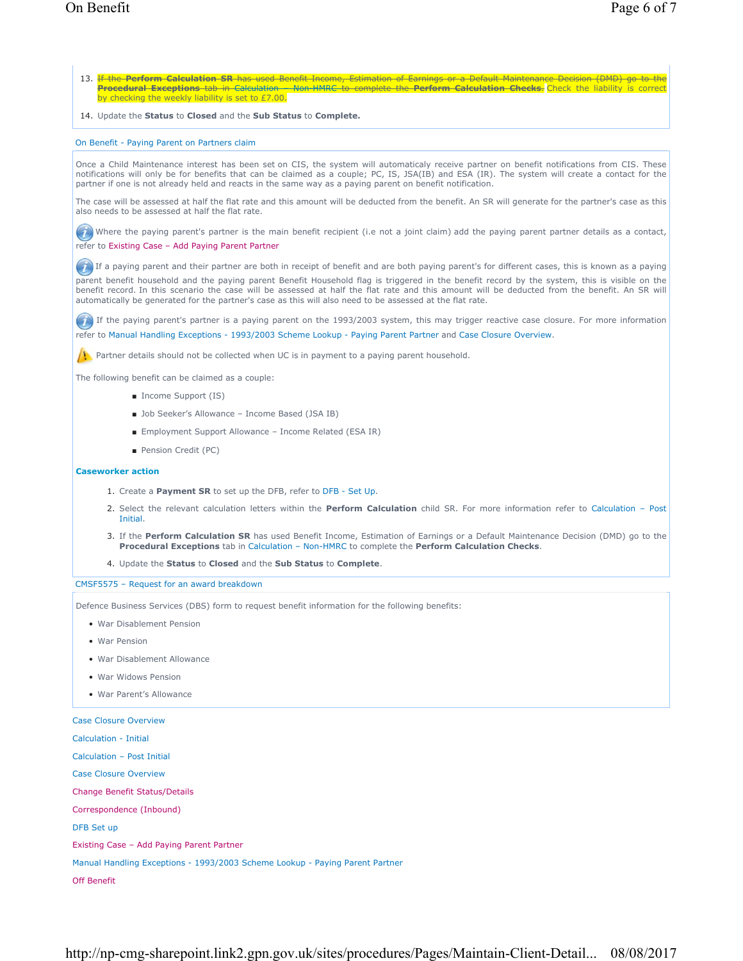- 13. <del>If the **Perform Calculation SR** has used Benefit Income, Estimation of Earnings or a Default Maintenance Decision (DMD) go to the</del> **Procedural Exceptions** tab in Calculation – Non-HMRC to complete the **Perform Calculation Checks**. Check the liability is correct by checking the weekly liability is set to £7.00.
- 14. Update the **Status** to **Closed** and the **Sub Status** to **Complete.**

#### On Benefit - Paying Parent on Partners claim

Once a Child Maintenance interest has been set on CIS, the system will automaticaly receive partner on benefit notifications from CIS. These notifications will only be for benefits that can be claimed as a couple; PC, IS, JSA(IB) and ESA (IR). The system will create a contact for the partner if one is not already held and reacts in the same way as a paying parent on benefit notification.

The case will be assessed at half the flat rate and this amount will be deducted from the benefit. An SR will generate for the partner's case as this also needs to be assessed at half the flat rate.

(i) Where the paying parent's partner is the main benefit recipient (i.e not a joint claim) add the paying parent partner details as a contact, refer to Existing Case – Add Paying Parent Partner

If a paying parent and their partner are both in receipt of benefit and are both paying parent's for different cases, this is known as a paying

parent benefit household and the paying parent Benefit Household flag is triggered in the benefit record by the system, this is visible on the benefit record. In this scenario the case will be assessed at half the flat rate and this amount will be deducted from the benefit. An SR will automatically be generated for the partner's case as this will also need to be assessed at the flat rate.

If the paying parent's partner is a paying parent on the 1993/2003 system, this may trigger reactive case closure. For more information refer to Manual Handling Exceptions - 1993/2003 Scheme Lookup - Paying Parent Partner and Case Closure Overview.

Partner details should not be collected when UC is in payment to a paying parent household.

The following benefit can be claimed as a couple:

- Income Support (IS)
- Job Seeker's Allowance Income Based (JSA IB)
- Employment Support Allowance Income Related (ESA IR)
- Pension Credit (PC)

#### **Caseworker action**

- 1. Create a **Payment SR** to set up the DFB, refer to DFB Set Up.
- 2. Select the relevant calculation letters within the **Perform Calculation** child SR. For more information refer to Calculation Post Initial.
- 3. If the Perform Calculation SR has used Benefit Income, Estimation of Earnings or a Default Maintenance Decision (DMD) go to the **Procedural Exceptions** tab in Calculation – Non-HMRC to complete the **Perform Calculation Checks**.
- 4. Update the **Status** to **Closed** and the **Sub Status** to **Complete**.

#### CMSF5575 – Request for an award breakdown

Defence Business Services (DBS) form to request benefit information for the following benefits:

- War Disablement Pension
- War Pension
- War Disablement Allowance
- War Widows Pension
- War Parent's Allowance

Case Closure Overview Calculation - Initial Calculation – Post Initial Case Closure Overview Change Benefit Status/Details Correspondence (Inbound) DFB Set up Existing Case – Add Paying Parent Partner Manual Handling Exceptions - 1993/2003 Scheme Lookup - Paying Parent Partner Off Benefit